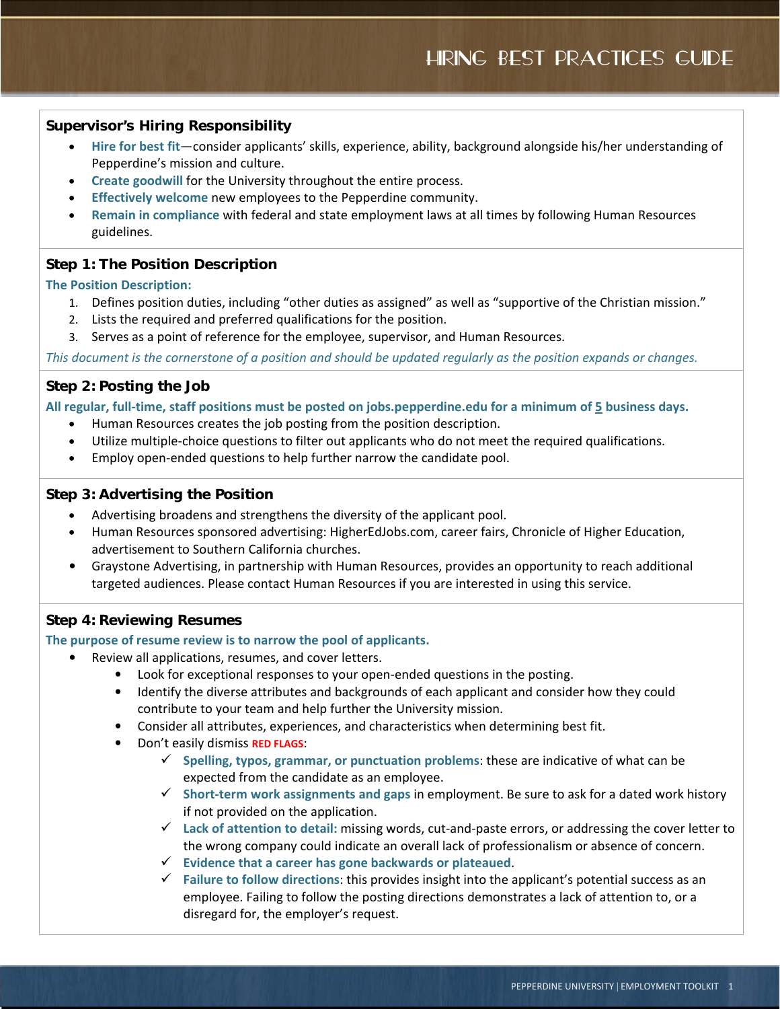# HIRING BEST PRACTICES GUIDE

### **Supervisor's Hiring Responsibility**

- **Hire for best fit**—consider applicants' skills, experience, ability, background alongside his/her understanding of Pepperdine's mission and culture.
- **Create goodwill** for the University throughout the entire process.
- **Effectively welcome** new employees to the Pepperdine community.
- **Remain in compliance** with federal and state employment laws at all times by following Human Resources guidelines.

# **Step 1: The Position Description**

### **The Position Description:**

- 1. Defines position duties, including "other duties as assigned" as well as "supportive of the Christian mission."
- 2. Lists the required and preferred qualifications for the position.
- 3. Serves as a point of reference for the employee, supervisor, and Human Resources.

*This document is the cornerstone of a position and should be updated regularly as the position expands or changes.*

## **Step 2: Posting the Job**

**All regular, full-time, staff positions must be posted on jobs.pepperdine.edu for a minimum of 5 business days.** 

- Human Resources creates the job posting from the position description.
- Utilize multiple-choice questions to filter out applicants who do not meet the required qualifications.
- Employ open-ended questions to help further narrow the candidate pool.

### **Step 3: Advertising the Position**

- Advertising broadens and strengthens the diversity of the applicant pool.
- Human Resources sponsored advertising: HigherEdJobs.com, career fairs, Chronicle of Higher Education, advertisement to Southern California churches.
- Graystone Advertising, in partnership with Human Resources, provides an opportunity to reach additional targeted audiences. Please contact Human Resources if you are interested in using this service.

### **Step 4: Reviewing Resumes**

#### **The purpose of resume review is to narrow the pool of applicants.**

- Review all applications, resumes, and cover letters.
	- Look for exceptional responses to your open-ended questions in the posting.
	- Identify the diverse attributes and backgrounds of each applicant and consider how they could contribute to your team and help further the University mission.
	- Consider all attributes, experiences, and characteristics when determining best fit.
	- Don't easily dismiss **RED FLAGS**:
		- **Spelling, typos, grammar, or punctuation problems**: these are indicative of what can be expected from the candidate as an employee.
		- **Short-term work assignments and gaps** in employment. Be sure to ask for a dated work history if not provided on the application.
		- **Lack of attention to detail:** missing words, cut-and-paste errors, or addressing the cover letter to the wrong company could indicate an overall lack of professionalism or absence of concern.
		- **Evidence that a career has gone backwards or plateaued**.
		- **Failure to follow directions**: this provides insight into the applicant's potential success as an employee. Failing to follow the posting directions demonstrates a lack of attention to, or a disregard for, the employer's request.